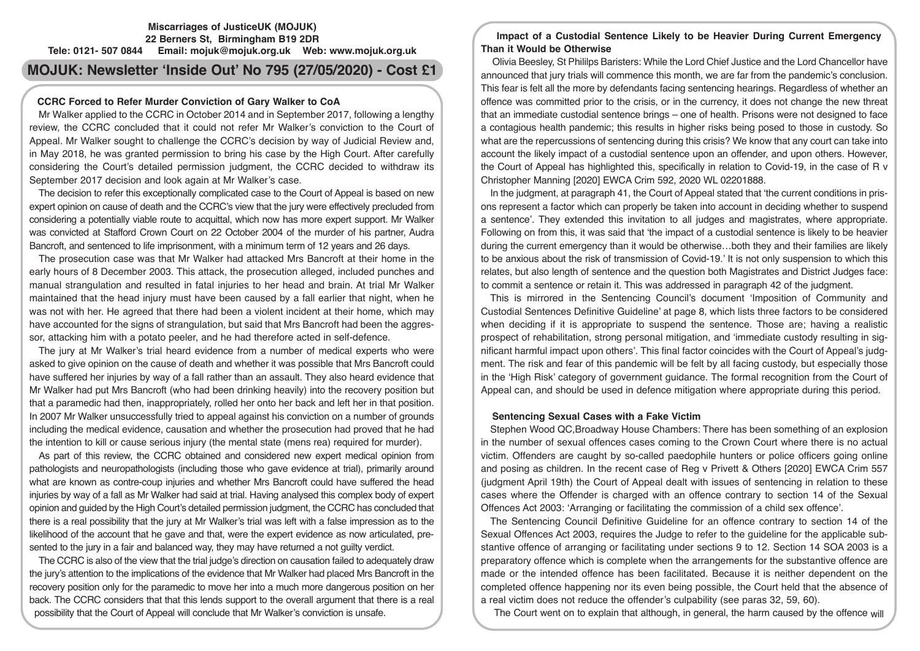# **Miscarriages of JusticeUK (MOJUK) 22 Berners St, Birmingham B19 2DR Tele: 0121- 507 0844 Email: mojuk@mojuk.org.uk Web: www.mojuk.org.uk**

# **MOJUK: Newsletter 'Inside Out' No 795 (27/05/2020) - Cost £1**

# **CCRC Forced to Refer Murder Conviction of Gary Walker to CoA**

Mr Walker applied to the CCRC in October 2014 and in September 2017, following a lengthy review, the CCRC concluded that it could not refer Mr Walker's conviction to the Court of Appeal. Mr Walker sought to challenge the CCRC's decision by way of Judicial Review and, in May 2018, he was granted permission to bring his case by the High Court. After carefully considering the Court's detailed permission judgment, the CCRC decided to withdraw its September 2017 decision and look again at Mr Walker's case.

The decision to refer this exceptionally complicated case to the Court of Appeal is based on new expert opinion on cause of death and the CCRC's view that the jury were effectively precluded from considering a potentially viable route to acquittal, which now has more expert support. Mr Walker was convicted at Stafford Crown Court on 22 October 2004 of the murder of his partner, Audra Bancroft, and sentenced to life imprisonment, with a minimum term of 12 years and 26 days.

The prosecution case was that Mr Walker had attacked Mrs Bancroft at their home in the early hours of 8 December 2003. This attack, the prosecution alleged, included punches and manual strangulation and resulted in fatal injuries to her head and brain. At trial Mr Walker maintained that the head injury must have been caused by a fall earlier that night, when he was not with her. He agreed that there had been a violent incident at their home, which may have accounted for the signs of strangulation, but said that Mrs Bancroft had been the aggressor, attacking him with a potato peeler, and he had therefore acted in self-defence.

The jury at Mr Walker's trial heard evidence from a number of medical experts who were asked to give opinion on the cause of death and whether it was possible that Mrs Bancroft could have suffered her injuries by way of a fall rather than an assault. They also heard evidence that Mr Walker had put Mrs Bancroft (who had been drinking heavily) into the recovery position but that a paramedic had then, inappropriately, rolled her onto her back and left her in that position. In 2007 Mr Walker unsuccessfully tried to appeal against his conviction on a number of grounds including the medical evidence, causation and whether the prosecution had proved that he had the intention to kill or cause serious injury (the mental state (mens rea) required for murder).

As part of this review, the CCRC obtained and considered new expert medical opinion from pathologists and neuropathologists (including those who gave evidence at trial), primarily around what are known as contre-coup injuries and whether Mrs Bancroft could have suffered the head injuries by way of a fall as Mr Walker had said at trial. Having analysed this complex body of expert opinion and guided by the High Court's detailed permission judgment, the CCRC has concluded that there is a real possibility that the jury at Mr Walker's trial was left with a false impression as to the likelihood of the account that he gave and that, were the expert evidence as now articulated, presented to the jury in a fair and balanced way, they may have returned a not guilty verdict.

The CCRC is also of the view that the trial judge's direction on causation failed to adequately draw the jury's attention to the implications of the evidence that Mr Walker had placed Mrs Bancroft in the recovery position only for the paramedic to move her into a much more dangerous position on her back. The CCRC considers that that this lends support to the overall argument that there is a real possibility that the Court of Appeal will conclude that Mr Walker's conviction is unsafe.

**Impact of a Custodial Sentence Likely to be Heavier During Current Emergency Than it Would be Otherwise** 

 Olivia Beesley, St Phililps Baristers: While the Lord Chief Justice and the Lord Chancellor have announced that jury trials will commence this month, we are far from the pandemic's conclusion. This fear is felt all the more by defendants facing sentencing hearings. Regardless of whether an offence was committed prior to the crisis, or in the currency, it does not change the new threat that an immediate custodial sentence brings – one of health. Prisons were not designed to face a contagious health pandemic; this results in higher risks being posed to those in custody. So what are the repercussions of sentencing during this crisis? We know that any court can take into account the likely impact of a custodial sentence upon an offender, and upon others. However, the Court of Appeal has highlighted this, specifically in relation to Covid-19, in the case of R v Christopher Manning [2020] EWCA Crim 592, 2020 WL 02201888.

In the judgment, at paragraph 41, the Court of Appeal stated that 'the current conditions in prisons represent a factor which can properly be taken into account in deciding whether to suspend a sentence'. They extended this invitation to all judges and magistrates, where appropriate. Following on from this, it was said that 'the impact of a custodial sentence is likely to be heavier during the current emergency than it would be otherwise…both they and their families are likely to be anxious about the risk of transmission of Covid-19.' It is not only suspension to which this relates, but also length of sentence and the question both Magistrates and District Judges face: to commit a sentence or retain it. This was addressed in paragraph 42 of the judgment.

This is mirrored in the Sentencing Council's document 'Imposition of Community and Custodial Sentences Definitive Guideline' at page 8, which lists three factors to be considered when deciding if it is appropriate to suspend the sentence. Those are; having a realistic prospect of rehabilitation, strong personal mitigation, and 'immediate custody resulting in significant harmful impact upon others'. This final factor coincides with the Court of Appeal's judgment. The risk and fear of this pandemic will be felt by all facing custody, but especially those in the 'High Risk' category of government guidance. The formal recognition from the Court of Appeal can, and should be used in defence mitigation where appropriate during this period.

# **Sentencing Sexual Cases with a Fake Victim**

Stephen Wood QC,Broadway House Chambers: There has been something of an explosion in the number of sexual offences cases coming to the Crown Court where there is no actual victim. Offenders are caught by so-called paedophile hunters or police officers going online and posing as children. In the recent case of Reg v Privett & Others [2020] EWCA Crim 557 (judgment April 19th) the Court of Appeal dealt with issues of sentencing in relation to these cases where the Offender is charged with an offence contrary to section 14 of the Sexual Offences Act 2003: 'Arranging or facilitating the commission of a child sex offence'.

The Sentencing Council Definitive Guideline for an offence contrary to section 14 of the Sexual Offences Act 2003, requires the Judge to refer to the guideline for the applicable substantive offence of arranging or facilitating under sections 9 to 12. Section 14 SOA 2003 is a preparatory offence which is complete when the arrangements for the substantive offence are made or the intended offence has been facilitated. Because it is neither dependent on the completed offence happening nor its even being possible, the Court held that the absence of a real victim does not reduce the offender's culpability (see paras 32, 59, 60).

The Court went on to explain that although, in general, the harm caused by the offence will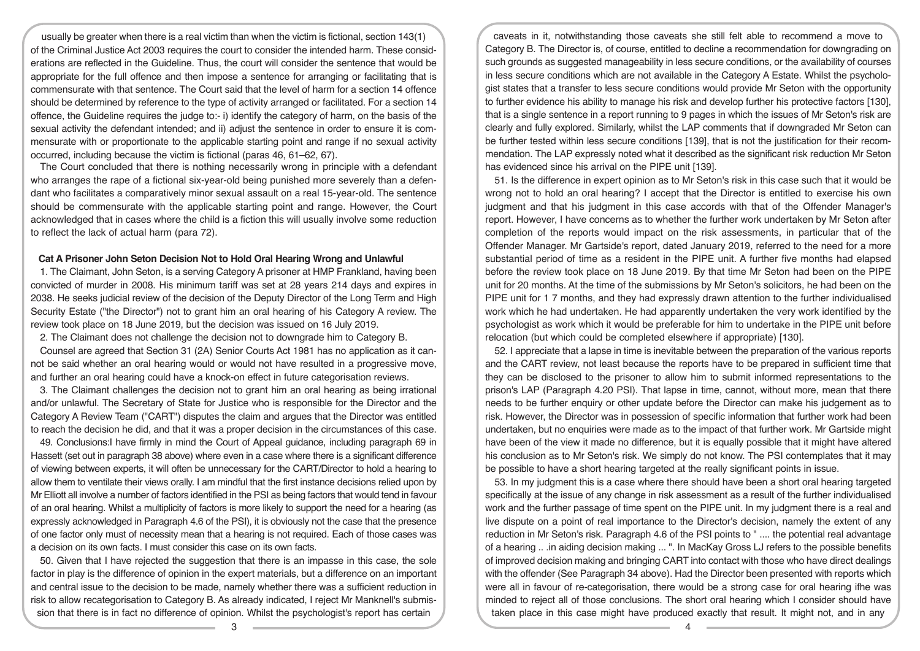usually be greater when there is a real victim than when the victim is fictional, section 143(1) of the Criminal Justice Act 2003 requires the court to consider the intended harm. These considerations are reflected in the Guideline. Thus, the court will consider the sentence that would be appropriate for the full offence and then impose a sentence for arranging or facilitating that is commensurate with that sentence. The Court said that the level of harm for a section 14 offence should be determined by reference to the type of activity arranged or facilitated. For a section 14 offence, the Guideline requires the judge to:- i) identify the category of harm, on the basis of the sexual activity the defendant intended; and ii) adjust the sentence in order to ensure it is commensurate with or proportionate to the applicable starting point and range if no sexual activity occurred, including because the victim is fictional (paras 46, 61–62, 67).

The Court concluded that there is nothing necessarily wrong in principle with a defendant who arranges the rape of a fictional six-year-old being punished more severely than a defendant who facilitates a comparatively minor sexual assault on a real 15-year-old. The sentence should be commensurate with the applicable starting point and range. However, the Court acknowledged that in cases where the child is a fiction this will usually involve some reduction to reflect the lack of actual harm (para 72).

# **Cat A Prisoner John Seton Decision Not to Hold Oral Hearing Wrong and Unlawful**

1. The Claimant, John Seton, is a serving Category A prisoner at HMP Frankland, having been convicted of murder in 2008. His minimum tariff was set at 28 years 214 days and expires in 2038. He seeks judicial review of the decision of the Deputy Director of the Long Term and High Security Estate ("the Director") not to grant him an oral hearing of his Category A review. The review took place on 18 June 2019, but the decision was issued on 16 July 2019.

2. The Claimant does not challenge the decision not to downgrade him to Category B.

Counsel are agreed that Section 31 (2A) Senior Courts Act 1981 has no application as it cannot be said whether an oral hearing would or would not have resulted in a progressive move, and further an oral hearing could have a knock-on effect in future categorisation reviews.

3. The Claimant challenges the decision not to grant him an oral hearing as being irrational and/or unlawful. The Secretary of State for Justice who is responsible for the Director and the Category A Review Team ("CART") disputes the claim and argues that the Director was entitled to reach the decision he did, and that it was a proper decision in the circumstances of this case.

49. Conclusions:I have firmly in mind the Court of Appeal guidance, including paragraph 69 in Hassett (set out in paragraph 38 above) where even in a case where there is a significant difference of viewing between experts, it will often be unnecessary for the CART/Director to hold a hearing to allow them to ventilate their views orally. I am mindful that the first instance decisions relied upon by Mr Elliott all involve a number of factors identified in the PSI as being factors that would tend in favour of an oral hearing. Whilst a multiplicity of factors is more likely to support the need for a hearing (as expressly acknowledged in Paragraph 4.6 of the PSI), it is obviously not the case that the presence of one factor only must of necessity mean that a hearing is not required. Each of those cases was a decision on its own facts. I must consider this case on its own facts.

50. Given that I have rejected the suggestion that there is an impasse in this case, the sole factor in play is the difference of opinion in the expert materials, but a difference on an important and central issue to the decision to be made, namely whether there was a sufficient reduction in risk to allow recategorisation to Category B. As already indicated, I reject Mr Manknell's submission that there is in fact no difference of opinion. Whilst the psychologist's report has certain

caveats in it, notwithstanding those caveats she still felt able to recommend a move to Category B. The Director is, of course, entitled to decline a recommendation for downgrading on such grounds as suggested manageability in less secure conditions, or the availability of courses in less secure conditions which are not available in the Category A Estate. Whilst the psychologist states that a transfer to less secure conditions would provide Mr Seton with the opportunity to further evidence his ability to manage his risk and develop further his protective factors [130], that is a single sentence in a report running to 9 pages in which the issues of Mr Seton's risk are clearly and fully explored. Similarly, whilst the LAP comments that if downgraded Mr Seton can be further tested within less secure conditions [139], that is not the justification for their recommendation. The LAP expressly noted what it described as the significant risk reduction Mr Seton has evidenced since his arrival on the PIPE unit [139].

51. Is the difference in expert opinion as to Mr Seton's risk in this case such that it would be wrong not to hold an oral hearing? I accept that the Director is entitled to exercise his own judgment and that his judgment in this case accords with that of the Offender Manager's report. However, I have concerns as to whether the further work undertaken by Mr Seton after completion of the reports would impact on the risk assessments, in particular that of the Offender Manager. Mr Gartside's report, dated January 2019, referred to the need for a more substantial period of time as a resident in the PIPE unit. A further five months had elapsed before the review took place on 18 June 2019. By that time Mr Seton had been on the PIPE unit for 20 months. At the time of the submissions by Mr Seton's solicitors, he had been on the PIPE unit for 1 7 months, and they had expressly drawn attention to the further individualised work which he had undertaken. He had apparently undertaken the very work identified by the psychologist as work which it would be preferable for him to undertake in the PIPE unit before relocation (but which could be completed elsewhere if appropriate) [130].

52. I appreciate that a lapse in time is inevitable between the preparation of the various reports and the CART review, not least because the reports have to be prepared in sufficient time that they can be disclosed to the prisoner to allow him to submit informed representations to the prison's LAP (Paragraph 4.20 PSI). That lapse in time, cannot, without more, mean that there needs to be further enquiry or other update before the Director can make his judgement as to risk. However, the Director was in possession of specific information that further work had been undertaken, but no enquiries were made as to the impact of that further work. Mr Gartside might have been of the view it made no difference, but it is equally possible that it might have altered his conclusion as to Mr Seton's risk. We simply do not know. The PSI contemplates that it may be possible to have a short hearing targeted at the really significant points in issue.

53. In my judgment this is a case where there should have been a short oral hearing targeted specifically at the issue of any change in risk assessment as a result of the further individualised work and the further passage of time spent on the PIPE unit. In my judgment there is a real and live dispute on a point of real importance to the Director's decision, namely the extent of any reduction in Mr Seton's risk. Paragraph 4.6 of the PSI points to " .... the potential real advantage of a hearing .. .in aiding decision making ... ". In MacKay Gross LJ refers to the possible benefits of improved decision making and bringing CART into contact with those who have direct dealings with the offender (See Paragraph 34 above). Had the Director been presented with reports which were all in favour of re-categorisation, there would be a strong case for oral hearing ifhe was minded to reject all of those conclusions. The short oral hearing which I consider should have taken place in this case might have produced exactly that result. It might not, and in any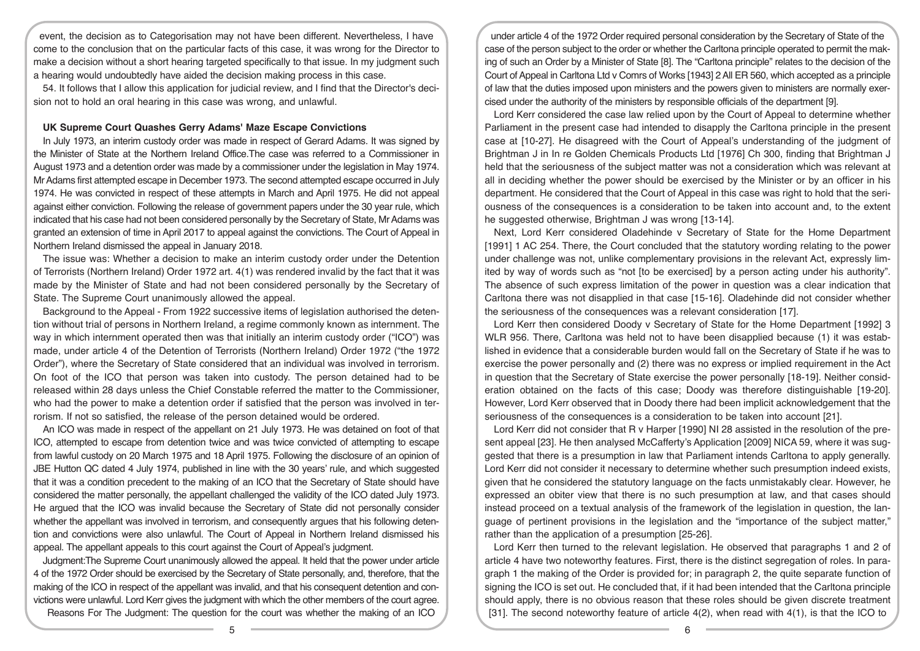event, the decision as to Categorisation may not have been different. Nevertheless, I have come to the conclusion that on the particular facts of this case, it was wrong for the Director to make a decision without a short hearing targeted specifically to that issue. In my judgment such a hearing would undoubtedly have aided the decision making process in this case.

54. It follows that I allow this application for judicial review, and I find that the Director's decision not to hold an oral hearing in this case was wrong, and unlawful.

# **UK Supreme Court Quashes Gerry Adams' Maze Escape Convictions**

In July 1973, an interim custody order was made in respect of Gerard Adams. It was signed by the Minister of State at the Northern Ireland Office.The case was referred to a Commissioner in August 1973 and a detention order was made by a commissioner under the legislation in May 1974. Mr Adams first attempted escape in December 1973. The second attempted escape occurred in July 1974. He was convicted in respect of these attempts in March and April 1975. He did not appeal against either conviction. Following the release of government papers under the 30 year rule, which indicated that his case had not been considered personally by the Secretary of State, Mr Adams was granted an extension of time in April 2017 to appeal against the convictions. The Court of Appeal in Northern Ireland dismissed the appeal in January 2018.

The issue was: Whether a decision to make an interim custody order under the Detention of Terrorists (Northern Ireland) Order 1972 art. 4(1) was rendered invalid by the fact that it was made by the Minister of State and had not been considered personally by the Secretary of State. The Supreme Court unanimously allowed the appeal.

Background to the Appeal - From 1922 successive items of legislation authorised the detention without trial of persons in Northern Ireland, a regime commonly known as internment. The way in which internment operated then was that initially an interim custody order ("ICO") was made, under article 4 of the Detention of Terrorists (Northern Ireland) Order 1972 ("the 1972 Order"), where the Secretary of State considered that an individual was involved in terrorism. On foot of the ICO that person was taken into custody. The person detained had to be released within 28 days unless the Chief Constable referred the matter to the Commissioner, who had the power to make a detention order if satisfied that the person was involved in terrorism. If not so satisfied, the release of the person detained would be ordered.

An ICO was made in respect of the appellant on 21 July 1973. He was detained on foot of that ICO, attempted to escape from detention twice and was twice convicted of attempting to escape from lawful custody on 20 March 1975 and 18 April 1975. Following the disclosure of an opinion of JBE Hutton QC dated 4 July 1974, published in line with the 30 years' rule, and which suggested that it was a condition precedent to the making of an ICO that the Secretary of State should have considered the matter personally, the appellant challenged the validity of the ICO dated July 1973. He argued that the ICO was invalid because the Secretary of State did not personally consider whether the appellant was involved in terrorism, and consequently argues that his following detention and convictions were also unlawful. The Court of Appeal in Northern Ireland dismissed his appeal. The appellant appeals to this court against the Court of Appeal's judgment.

Judgment:The Supreme Court unanimously allowed the appeal. It held that the power under article 4 of the 1972 Order should be exercised by the Secretary of State personally, and, therefore, that the making of the ICO in respect of the appellant was invalid, and that his consequent detention and convictions were unlawful. Lord Kerr gives the judgment with which the other members of the court agree.

Reasons For The Judgment: The question for the court was whether the making of an ICO

under article 4 of the 1972 Order required personal consideration by the Secretary of State of the case of the person subject to the order or whether the Carltona principle operated to permit the making of such an Order by a Minister of State [8]. The "Carltona principle" relates to the decision of the Court of Appeal in Carltona Ltd v Comrs of Works [1943] 2 All ER 560, which accepted as a principle of law that the duties imposed upon ministers and the powers given to ministers are normally exercised under the authority of the ministers by responsible officials of the department [9].

Lord Kerr considered the case law relied upon by the Court of Appeal to determine whether Parliament in the present case had intended to disapply the Carltona principle in the present case at [10-27]. He disagreed with the Court of Appeal's understanding of the judgment of Brightman J in In re Golden Chemicals Products Ltd [1976] Ch 300, finding that Brightman J held that the seriousness of the subject matter was not a consideration which was relevant at all in deciding whether the power should be exercised by the Minister or by an officer in his department. He considered that the Court of Appeal in this case was right to hold that the seriousness of the consequences is a consideration to be taken into account and, to the extent he suggested otherwise, Brightman J was wrong [13-14].

Next, Lord Kerr considered Oladehinde v Secretary of State for the Home Department [1991] 1 AC 254. There, the Court concluded that the statutory wording relating to the power under challenge was not, unlike complementary provisions in the relevant Act, expressly limited by way of words such as "not [to be exercised] by a person acting under his authority". The absence of such express limitation of the power in question was a clear indication that Carltona there was not disapplied in that case [15-16]. Oladehinde did not consider whether the seriousness of the consequences was a relevant consideration [17].

Lord Kerr then considered Doody v Secretary of State for the Home Department [1992] 3 WLR 956. There, Carltona was held not to have been disapplied because (1) it was established in evidence that a considerable burden would fall on the Secretary of State if he was to exercise the power personally and (2) there was no express or implied requirement in the Act in question that the Secretary of State exercise the power personally [18-19]. Neither consideration obtained on the facts of this case; Doody was therefore distinguishable [19-20]. However, Lord Kerr observed that in Doody there had been implicit acknowledgement that the seriousness of the consequences is a consideration to be taken into account [21].

Lord Kerr did not consider that R v Harper [1990] NI 28 assisted in the resolution of the present appeal [23]. He then analysed McCafferty's Application [2009] NICA 59, where it was suggested that there is a presumption in law that Parliament intends Carltona to apply generally. Lord Kerr did not consider it necessary to determine whether such presumption indeed exists, given that he considered the statutory language on the facts unmistakably clear. However, he expressed an obiter view that there is no such presumption at law, and that cases should instead proceed on a textual analysis of the framework of the legislation in question, the language of pertinent provisions in the legislation and the "importance of the subject matter," rather than the application of a presumption [25-26].

Lord Kerr then turned to the relevant legislation. He observed that paragraphs 1 and 2 of article 4 have two noteworthy features. First, there is the distinct segregation of roles. In paragraph 1 the making of the Order is provided for; in paragraph 2, the quite separate function of signing the ICO is set out. He concluded that, if it had been intended that the Carltona principle should apply, there is no obvious reason that these roles should be given discrete treatment [31]. The second noteworthy feature of article  $4(2)$ , when read with  $4(1)$ , is that the ICO to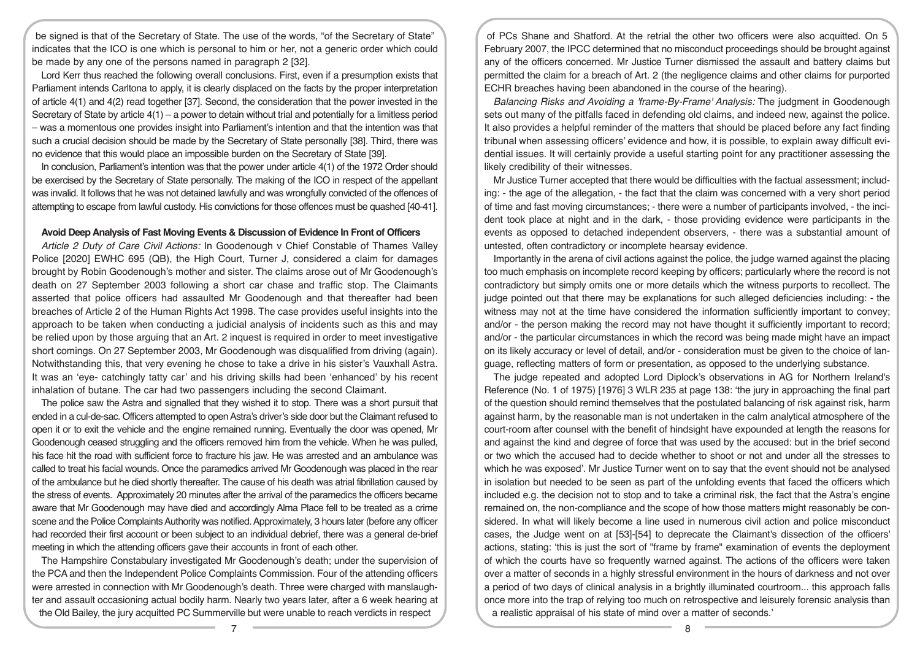be signed is that of the Secretary of State. The use of the words, "of the Secretary of State" indicates that the ICO is one which is personal to him or her, not a generic order which could be made by any one of the persons named in paragraph 2 [32].

Lord Kerr thus reached the following overall conclusions. First, even if a presumption exists that Parliament intends Carltona to apply, it is clearly displaced on the facts by the proper interpretation of article 4(1) and 4(2) read together [37]. Second, the consideration that the power invested in the Secretary of State by article 4(1) – a power to detain without trial and potentially for a limitless period – was a momentous one provides insight into Parliament's intention and that the intention was that such a crucial decision should be made by the Secretary of State personally [38]. Third, there was no evidence that this would place an impossible burden on the Secretary of State [39].

In conclusion, Parliament's intention was that the power under article 4(1) of the 1972 Order should be exercised by the Secretary of State personally. The making of the ICO in respect of the appellant was invalid. It follows that he was not detained lawfully and was wrongfully convicted of the offences of attempting to escape from lawful custody. His convictions for those offences must be quashed [40-41].

### **Avoid Deep Analysis of Fast Moving Events & Discussion of Evidence In Front of Officers**

*Article 2 Duty of Care Civil Actions:* In Goodenough v Chief Constable of Thames Valley Police [2020] EWHC 695 (QB), the High Court, Turner J, considered a claim for damages brought by Robin Goodenough's mother and sister. The claims arose out of Mr Goodenough's death on 27 September 2003 following a short car chase and traffic stop. The Claimants asserted that police officers had assaulted Mr Goodenough and that thereafter had been breaches of Article 2 of the Human Rights Act 1998. The case provides useful insights into the approach to be taken when conducting a judicial analysis of incidents such as this and may be relied upon by those arguing that an Art. 2 inquest is required in order to meet investigative short comings. On 27 September 2003, Mr Goodenough was disqualified from driving (again). Notwithstanding this, that very evening he chose to take a drive in his sister's Vauxhall Astra. It was an 'eye- catchingly tatty car' and his driving skills had been 'enhanced' by his recent inhalation of butane. The car had two passengers including the second Claimant.

The police saw the Astra and signalled that they wished it to stop. There was a short pursuit that ended in a cul-de-sac. Officers attempted to open Astra's driver's side door but the Claimant refused to open it or to exit the vehicle and the engine remained running. Eventually the door was opened, Mr Goodenough ceased struggling and the officers removed him from the vehicle. When he was pulled, his face hit the road with sufficient force to fracture his jaw. He was arrested and an ambulance was called to treat his facial wounds. Once the paramedics arrived Mr Goodenough was placed in the rear of the ambulance but he died shortly thereafter. The cause of his death was atrial fibrillation caused by the stress of events. Approximately 20 minutes after the arrival of the paramedics the officers became aware that Mr Goodenough may have died and accordingly Alma Place fell to be treated as a crime scene and the Police Complaints Authority was notified. Approximately, 3 hours later (before any officer had recorded their first account or been subject to an individual debrief, there was a general de-brief meeting in which the attending officers gave their accounts in front of each other.

The Hampshire Constabulary investigated Mr Goodenough's death; under the supervision of the PCA and then the Independent Police Complaints Commission. Four of the attending officers were arrested in connection with Mr Goodenough's death. Three were charged with manslaughter and assault occasioning actual bodily harm. Nearly two years later, after a 6 week hearing at the Old Bailey, the jury acquitted PC Summerville but were unable to reach verdicts in respect

of PCs Shane and Shatford. At the retrial the other two officers were also acquitted. On 5 February 2007, the IPCC determined that no misconduct proceedings should be brought against any of the officers concerned. Mr Justice Turner dismissed the assault and battery claims but permitted the claim for a breach of Art. 2 (the negligence claims and other claims for purported ECHR breaches having been abandoned in the course of the hearing).

*Balancing Risks and Avoiding a 'frame-By-Frame' Analysis:* The judgment in Goodenough sets out many of the pitfalls faced in defending old claims, and indeed new, against the police. It also provides a helpful reminder of the matters that should be placed before any fact finding tribunal when assessing officers' evidence and how, it is possible, to explain away difficult evidential issues. It will certainly provide a useful starting point for any practitioner assessing the likely credibility of their witnesses.

Mr Justice Turner accepted that there would be difficulties with the factual assessment; including: - the age of the allegation, - the fact that the claim was concerned with a very short period of time and fast moving circumstances; - there were a number of participants involved, - the incident took place at night and in the dark, - those providing evidence were participants in the events as opposed to detached independent observers, - there was a substantial amount of untested, often contradictory or incomplete hearsay evidence.

Importantly in the arena of civil actions against the police, the judge warned against the placing too much emphasis on incomplete record keeping by officers; particularly where the record is not contradictory but simply omits one or more details which the witness purports to recollect. The judge pointed out that there may be explanations for such alleged deficiencies including: - the witness may not at the time have considered the information sufficiently important to convey; and/or - the person making the record may not have thought it sufficiently important to record; and/or - the particular circumstances in which the record was being made might have an impact on its likely accuracy or level of detail, and/or - consideration must be given to the choice of language, reflecting matters of form or presentation, as opposed to the underlying substance.

The judge repeated and adopted Lord Diplock's observations in AG for Northern Ireland's Reference (No. 1 of 1975) [1976] 3 WLR 235 at page 138: 'the jury in approaching the final part of the question should remind themselves that the postulated balancing of risk against risk, harm against harm, by the reasonable man is not undertaken in the calm analytical atmosphere of the court-room after counsel with the benefit of hindsight have expounded at length the reasons for and against the kind and degree of force that was used by the accused: but in the brief second or two which the accused had to decide whether to shoot or not and under all the stresses to which he was exposed'. Mr Justice Turner went on to say that the event should not be analysed in isolation but needed to be seen as part of the unfolding events that faced the officers which included e.g. the decision not to stop and to take a criminal risk, the fact that the Astra's engine remained on, the non-compliance and the scope of how those matters might reasonably be considered. In what will likely become a line used in numerous civil action and police misconduct cases, the Judge went on at [53]-[54] to deprecate the Claimant's dissection of the officers' actions, stating: 'this is just the sort of "frame by frame" examination of events the deployment of which the courts have so frequently warned against. The actions of the officers were taken over a matter of seconds in a highly stressful environment in the hours of darkness and not over a period of two days of clinical analysis in a brightly illuminated courtroom... this approach falls once more into the trap of relying too much on retrospective and leisurely forensic analysis than a realistic appraisal of his state of mind over a matter of seconds.'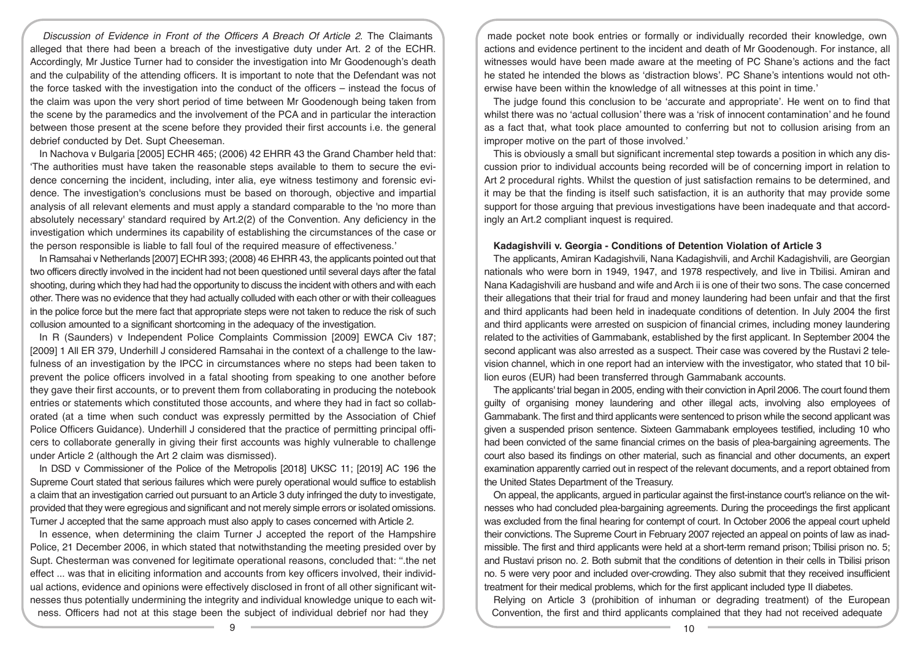*Discussion of Evidence in Front of the Officers A Breach Of Article 2*. The Claimants alleged that there had been a breach of the investigative duty under Art. 2 of the ECHR. Accordingly, Mr Justice Turner had to consider the investigation into Mr Goodenough's death and the culpability of the attending officers. It is important to note that the Defendant was not the force tasked with the investigation into the conduct of the officers – instead the focus of the claim was upon the very short period of time between Mr Goodenough being taken from the scene by the paramedics and the involvement of the PCA and in particular the interaction between those present at the scene before they provided their first accounts i.e. the general debrief conducted by Det. Supt Cheeseman.

In Nachova v Bulgaria [2005] ECHR 465; (2006) 42 EHRR 43 the Grand Chamber held that: 'The authorities must have taken the reasonable steps available to them to secure the evidence concerning the incident, including, inter alia, eye witness testimony and forensic evidence. The investigation's conclusions must be based on thorough, objective and impartial analysis of all relevant elements and must apply a standard comparable to the 'no more than absolutely necessary' standard required by Art.2(2) of the Convention. Any deficiency in the investigation which undermines its capability of establishing the circumstances of the case or the person responsible is liable to fall foul of the required measure of effectiveness.'

In Ramsahai v Netherlands [2007] ECHR 393; (2008) 46 EHRR 43, the applicants pointed out that two officers directly involved in the incident had not been questioned until several days after the fatal shooting, during which they had had the opportunity to discuss the incident with others and with each other. There was no evidence that they had actually colluded with each other or with their colleagues in the police force but the mere fact that appropriate steps were not taken to reduce the risk of such collusion amounted to a significant shortcoming in the adequacy of the investigation.

In R (Saunders) v Independent Police Complaints Commission [2009] EWCA Civ 187; [2009] 1 All ER 379, Underhill J considered Ramsahai in the context of a challenge to the lawfulness of an investigation by the IPCC in circumstances where no steps had been taken to prevent the police officers involved in a fatal shooting from speaking to one another before they gave their first accounts, or to prevent them from collaborating in producing the notebook entries or statements which constituted those accounts, and where they had in fact so collaborated (at a time when such conduct was expressly permitted by the Association of Chief Police Officers Guidance). Underhill J considered that the practice of permitting principal officers to collaborate generally in giving their first accounts was highly vulnerable to challenge under Article 2 (although the Art 2 claim was dismissed).

In DSD v Commissioner of the Police of the Metropolis [2018] UKSC 11; [2019] AC 196 the Supreme Court stated that serious failures which were purely operational would suffice to establish a claim that an investigation carried out pursuant to an Article 3 duty infringed the duty to investigate, provided that they were egregious and significant and not merely simple errors or isolated omissions. Turner J accepted that the same approach must also apply to cases concerned with Article 2.

In essence, when determining the claim Turner J accepted the report of the Hampshire Police, 21 December 2006, in which stated that notwithstanding the meeting presided over by Supt. Chesterman was convened for legitimate operational reasons, concluded that: ''.the net effect ... was that in eliciting information and accounts from key officers involved, their individual actions, evidence and opinions were effectively disclosed in front of all other significant witnesses thus potentially undermining the integrity and individual knowledge unique to each witness. Officers had not at this stage been the subject of individual debrief nor had they

made pocket note book entries or formally or individually recorded their knowledge, own actions and evidence pertinent to the incident and death of Mr Goodenough. For instance, all witnesses would have been made aware at the meeting of PC Shane's actions and the fact he stated he intended the blows as 'distraction blows'. PC Shane's intentions would not otherwise have been within the knowledge of all witnesses at this point in time.'

The judge found this conclusion to be 'accurate and appropriate'. He went on to find that whilst there was no 'actual collusion' there was a 'risk of innocent contamination' and he found as a fact that, what took place amounted to conferring but not to collusion arising from an improper motive on the part of those involved.'

This is obviously a small but significant incremental step towards a position in which any discussion prior to individual accounts being recorded will be of concerning import in relation to Art 2 procedural rights. Whilst the question of just satisfaction remains to be determined, and it may be that the finding is itself such satisfaction, it is an authority that may provide some support for those arguing that previous investigations have been inadequate and that accordingly an Art.2 compliant inquest is required.

### **Kadagishvili v. Georgia - Conditions of Detention Violation of Article 3**

The applicants, Amiran Kadagishvili, Nana Kadagishvili, and Archil Kadagishvili, are Georgian nationals who were born in 1949, 1947, and 1978 respectively, and live in Tbilisi. Amiran and Nana Kadagishvili are husband and wife and Arch ii is one of their two sons. The case concerned their allegations that their trial for fraud and money laundering had been unfair and that the first and third applicants had been held in inadequate conditions of detention. In July 2004 the first and third applicants were arrested on suspicion of financial crimes, including money laundering related to the activities of Gammabank, established by the first applicant. In September 2004 the second applicant was also arrested as a suspect. Their case was covered by the Rustavi 2 television channel, which in one report had an interview with the investigator, who stated that 10 billion euros (EUR) had been transferred through Gammabank accounts.

The applicants' trial began in 2005, ending with their conviction in April 2006. The court found them guilty of organising money laundering and other illegal acts, involving also employees of Gammabank. The first and third applicants were sentenced to prison while the second applicant was given a suspended prison sentence. Sixteen Gammabank employees testified, including 10 who had been convicted of the same financial crimes on the basis of plea-bargaining agreements. The court also based its findings on other material, such as financial and other documents, an expert examination apparently carried out in respect of the relevant documents, and a report obtained from the United States Department of the Treasury.

On appeal, the applicants, argued in particular against the first-instance court's reliance on the witnesses who had concluded plea-bargaining agreements. During the proceedings the first applicant was excluded from the final hearing for contempt of court. In October 2006 the appeal court upheld their convictions. The Supreme Court in February 2007 rejected an appeal on points of law as inadmissible. The first and third applicants were held at a short-term remand prison; Tbilisi prison no. 5; and Rustavi prison no. 2. Both submit that the conditions of detention in their cells in Tbilisi prison no. 5 were very poor and included over-crowding. They also submit that they received insufficient treatment for their medical problems, which for the first applicant included type II diabetes.

Relying on Article 3 (prohibition of inhuman or degrading treatment) of the European Convention, the first and third applicants complained that they had not received adequate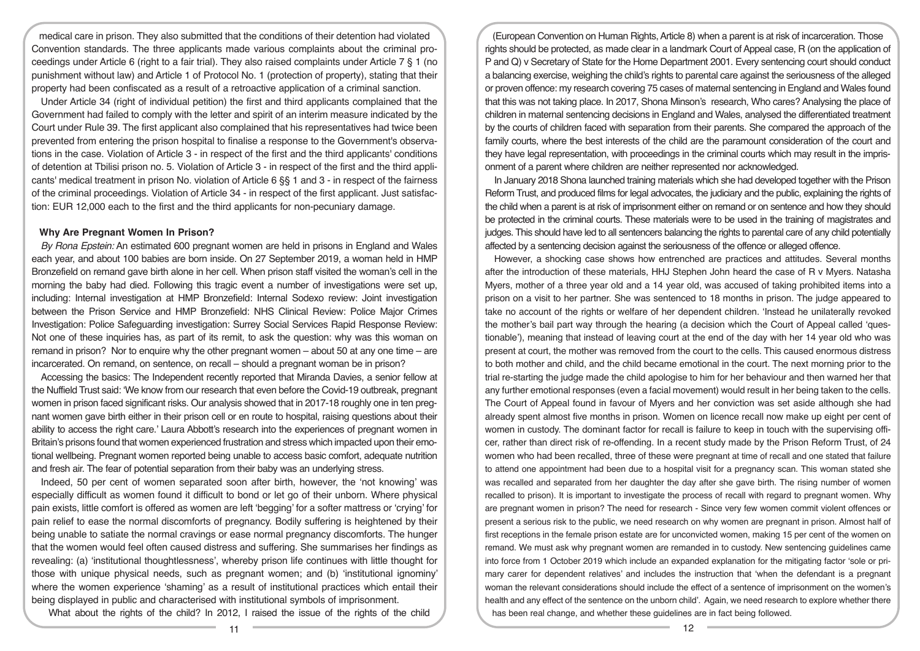medical care in prison. They also submitted that the conditions of their detention had violated Convention standards. The three applicants made various complaints about the criminal proceedings under Article 6 (right to a fair trial). They also raised complaints under Article 7 § 1 (no punishment without law) and Article 1 of Protocol No. 1 (protection of property), stating that their property had been confiscated as a result of a retroactive application of a criminal sanction.

Under Article 34 (right of individual petition) the first and third applicants complained that the Government had failed to comply with the letter and spirit of an interim measure indicated by the Court under Rule 39. The first applicant also complained that his representatives had twice been prevented from entering the prison hospital to finalise a response to the Government's observations in the case. Violation of Article 3 - in respect of the first and the third applicants' conditions of detention at Tbilisi prison no. 5. Violation of Article 3 - in respect of the first and the third applicants' medical treatment in prison No. violation of Article 6 §§ 1 and 3 - in respect of the fairness of the criminal proceedings. Violation of Article 34 - in respect of the first applicant. Just satisfaction: EUR 12,000 each to the first and the third applicants for non-pecuniary damage.

# **Why Are Pregnant Women In Prison?**

*By Rona Epstein:* An estimated 600 pregnant women are held in prisons in England and Wales each year, and about 100 babies are born inside. On 27 September 2019, a woman held in HMP Bronzefield on remand gave birth alone in her cell. When prison staff visited the woman's cell in the morning the baby had died. Following this tragic event a number of investigations were set up, including: Internal investigation at HMP Bronzefield: Internal Sodexo review: Joint investigation between the Prison Service and HMP Bronzefield: NHS Clinical Review: Police Major Crimes Investigation: Police Safeguarding investigation: Surrey Social Services Rapid Response Review: Not one of these inquiries has, as part of its remit, to ask the question: why was this woman on remand in prison? Nor to enquire why the other pregnant women – about 50 at any one time – are incarcerated. On remand, on sentence, on recall – should a pregnant woman be in prison?

Accessing the basics: The Independent recently reported that Miranda Davies, a senior fellow at the Nuffield Trust said: 'We know from our research that even before the Covid-19 outbreak, pregnant women in prison faced significant risks. Our analysis showed that in 2017-18 roughly one in ten pregnant women gave birth either in their prison cell or en route to hospital, raising questions about their ability to access the right care.' Laura Abbott's research into the experiences of pregnant women in Britain's prisons found that women experienced frustration and stress which impacted upon their emotional wellbeing. Pregnant women reported being unable to access basic comfort, adequate nutrition and fresh air. The fear of potential separation from their baby was an underlying stress.

Indeed, 50 per cent of women separated soon after birth, however, the 'not knowing' was especially difficult as women found it difficult to bond or let go of their unborn. Where physical pain exists, little comfort is offered as women are left 'begging' for a softer mattress or 'crying' for pain relief to ease the normal discomforts of pregnancy. Bodily suffering is heightened by their being unable to satiate the normal cravings or ease normal pregnancy discomforts. The hunger that the women would feel often caused distress and suffering. She summarises her findings as revealing: (a) 'institutional thoughtlessness', whereby prison life continues with little thought for those with unique physical needs, such as pregnant women; and (b) 'institutional ignominy' where the women experience 'shaming' as a result of institutional practices which entail their being displayed in public and characterised with institutional symbols of imprisonment.

What about the rights of the child? In 2012, I raised the issue of the rights of the child

(European Convention on Human Rights, Article 8) when a parent is at risk of incarceration. Those rights should be protected, as made clear in a landmark Court of Appeal case, R (on the application of P and Q) v Secretary of State for the Home Department 2001. Every sentencing court should conduct a balancing exercise, weighing the child's rights to parental care against the seriousness of the alleged or proven offence: my research covering 75 cases of maternal sentencing in England and Wales found that this was not taking place. In 2017, Shona Minson's research, Who cares? Analysing the place of children in maternal sentencing decisions in England and Wales, analysed the differentiated treatment by the courts of children faced with separation from their parents. She compared the approach of the family courts, where the best interests of the child are the paramount consideration of the court and they have legal representation, with proceedings in the criminal courts which may result in the imprisonment of a parent where children are neither represented nor acknowledged.

In January 2018 Shona launched training materials which she had developed together with the Prison Reform Trust, and produced films for legal advocates, the judiciary and the public, explaining the rights of the child when a parent is at risk of imprisonment either on remand or on sentence and how they should be protected in the criminal courts. These materials were to be used in the training of magistrates and judges. This should have led to all sentencers balancing the rights to parental care of any child potentially affected by a sentencing decision against the seriousness of the offence or alleged offence.

However, a shocking case shows how entrenched are practices and attitudes. Several months after the introduction of these materials, HHJ Stephen John heard the case of R v Myers. Natasha Myers, mother of a three year old and a 14 year old, was accused of taking prohibited items into a prison on a visit to her partner. She was sentenced to 18 months in prison. The judge appeared to take no account of the rights or welfare of her dependent children. 'Instead he unilaterally revoked the mother's bail part way through the hearing (a decision which the Court of Appeal called 'questionable'), meaning that instead of leaving court at the end of the day with her 14 year old who was present at court, the mother was removed from the court to the cells. This caused enormous distress to both mother and child, and the child became emotional in the court. The next morning prior to the trial re-starting the judge made the child apologise to him for her behaviour and then warned her that any further emotional responses (even a facial movement) would result in her being taken to the cells. The Court of Appeal found in favour of Myers and her conviction was set aside although she had already spent almost five months in prison. Women on licence recall now make up eight per cent of women in custody. The dominant factor for recall is failure to keep in touch with the supervising officer, rather than direct risk of re-offending. In a recent study made by the Prison Reform Trust, of 24 women who had been recalled, three of these were pregnant at time of recall and one stated that failure to attend one appointment had been due to a hospital visit for a pregnancy scan. This woman stated she was recalled and separated from her daughter the day after she gave birth. The rising number of women recalled to prison). It is important to investigate the process of recall with regard to pregnant women. Why are pregnant women in prison? The need for research - Since very few women commit violent offences or present a serious risk to the public, we need research on why women are pregnant in prison. Almost half of first receptions in the female prison estate are for unconvicted women, making 15 per cent of the women on remand. We must ask why pregnant women are remanded in to custody. New sentencing guidelines came into force from 1 October 2019 which include an expanded explanation for the mitigating factor 'sole or primary carer for dependent relatives' and includes the instruction that 'when the defendant is a pregnant woman the relevant considerations should include the effect of a sentence of imprisonment on the women's health and any effect of the sentence on the unborn child'. Again, we need research to explore whether there has been real change, and whether these guidelines are in fact being followed.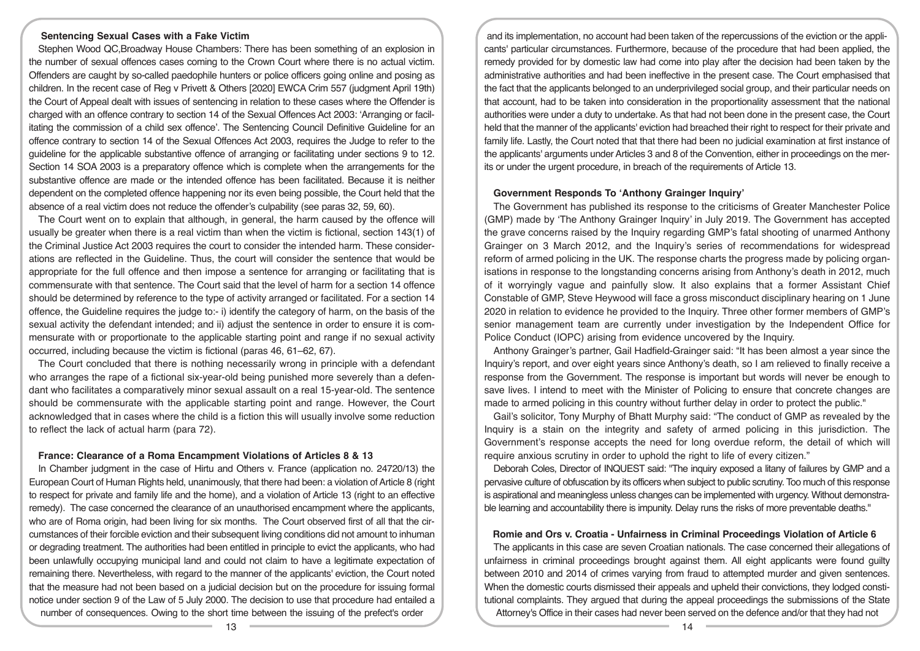# **Sentencing Sexual Cases with a Fake Victim**

Stephen Wood QC,Broadway House Chambers: There has been something of an explosion in the number of sexual offences cases coming to the Crown Court where there is no actual victim. Offenders are caught by so-called paedophile hunters or police officers going online and posing as children. In the recent case of Reg v Privett & Others [2020] EWCA Crim 557 (judgment April 19th) the Court of Appeal dealt with issues of sentencing in relation to these cases where the Offender is charged with an offence contrary to section 14 of the Sexual Offences Act 2003: 'Arranging or facilitating the commission of a child sex offence'. The Sentencing Council Definitive Guideline for an offence contrary to section 14 of the Sexual Offences Act 2003, requires the Judge to refer to the guideline for the applicable substantive offence of arranging or facilitating under sections 9 to 12. Section 14 SOA 2003 is a preparatory offence which is complete when the arrangements for the substantive offence are made or the intended offence has been facilitated. Because it is neither dependent on the completed offence happening nor its even being possible, the Court held that the absence of a real victim does not reduce the offender's culpability (see paras 32, 59, 60).

The Court went on to explain that although, in general, the harm caused by the offence will usually be greater when there is a real victim than when the victim is fictional, section 143(1) of the Criminal Justice Act 2003 requires the court to consider the intended harm. These considerations are reflected in the Guideline. Thus, the court will consider the sentence that would be appropriate for the full offence and then impose a sentence for arranging or facilitating that is commensurate with that sentence. The Court said that the level of harm for a section 14 offence should be determined by reference to the type of activity arranged or facilitated. For a section 14 offence, the Guideline requires the judge to:- i) identify the category of harm, on the basis of the sexual activity the defendant intended; and ii) adjust the sentence in order to ensure it is commensurate with or proportionate to the applicable starting point and range if no sexual activity occurred, including because the victim is fictional (paras 46, 61–62, 67).

The Court concluded that there is nothing necessarily wrong in principle with a defendant who arranges the rape of a fictional six-year-old being punished more severely than a defendant who facilitates a comparatively minor sexual assault on a real 15-year-old. The sentence should be commensurate with the applicable starting point and range. However, the Court acknowledged that in cases where the child is a fiction this will usually involve some reduction to reflect the lack of actual harm (para 72).

#### **France: Clearance of a Roma Encampment Violations of Articles 8 & 13**

In Chamber judgment in the case of Hirtu and Others v. France (application no. 24720/13) the European Court of Human Rights held, unanimously, that there had been: a violation of Article 8 (right to respect for private and family life and the home), and a violation of Article 13 (right to an effective remedy). The case concerned the clearance of an unauthorised encampment where the applicants, who are of Roma origin, had been living for six months. The Court observed first of all that the circumstances of their forcible eviction and their subsequent living conditions did not amount to inhuman or degrading treatment. The authorities had been entitled in principle to evict the applicants, who had been unlawfully occupying municipal land and could not claim to have a legitimate expectation of remaining there. Nevertheless, with regard to the manner of the applicants' eviction, the Court noted that the measure had not been based on a judicial decision but on the procedure for issuing formal notice under section 9 of the Law of 5 July 2000. The decision to use that procedure had entailed a number of consequences. Owing to the short time between the issuing of the prefect's order

and its implementation, no account had been taken of the repercussions of the eviction or the applicants' particular circumstances. Furthermore, because of the procedure that had been applied, the remedy provided for by domestic law had come into play after the decision had been taken by the administrative authorities and had been ineffective in the present case. The Court emphasised that the fact that the applicants belonged to an underprivileged social group, and their particular needs on that account, had to be taken into consideration in the proportionality assessment that the national authorities were under a duty to undertake. As that had not been done in the present case, the Court held that the manner of the applicants' eviction had breached their right to respect for their private and family life. Lastly, the Court noted that that there had been no judicial examination at first instance of the applicants' arguments under Articles 3 and 8 of the Convention, either in proceedings on the merits or under the urgent procedure, in breach of the requirements of Article 13.

# **Government Responds To 'Anthony Grainger Inquiry'**

The Government has published its response to the criticisms of Greater Manchester Police (GMP) made by 'The Anthony Grainger Inquiry' in July 2019. The Government has accepted the grave concerns raised by the Inquiry regarding GMP's fatal shooting of unarmed Anthony Grainger on 3 March 2012, and the Inquiry's series of recommendations for widespread reform of armed policing in the UK. The response charts the progress made by policing organisations in response to the longstanding concerns arising from Anthony's death in 2012, much of it worryingly vague and painfully slow. It also explains that a former Assistant Chief Constable of GMP, Steve Heywood will face a gross misconduct disciplinary hearing on 1 June 2020 in relation to evidence he provided to the Inquiry. Three other former members of GMP's senior management team are currently under investigation by the Independent Office for Police Conduct (IOPC) arising from evidence uncovered by the Inquiry.

Anthony Grainger's partner, Gail Hadfield-Grainger said: "It has been almost a year since the Inquiry's report, and over eight years since Anthony's death, so I am relieved to finally receive a response from the Government. The response is important but words will never be enough to save lives. I intend to meet with the Minister of Policing to ensure that concrete changes are made to armed policing in this country without further delay in order to protect the public."

Gail's solicitor, Tony Murphy of Bhatt Murphy said: "The conduct of GMP as revealed by the Inquiry is a stain on the integrity and safety of armed policing in this jurisdiction. The Government's response accepts the need for long overdue reform, the detail of which will require anxious scrutiny in order to uphold the right to life of every citizen."

Deborah Coles, Director of INQUEST said: "The inquiry exposed a litany of failures by GMP and a pervasive culture of obfuscation by its officers when subject to public scrutiny. Too much of this response is aspirational and meaningless unless changes can be implemented with urgency. Without demonstrable learning and accountability there is impunity. Delay runs the risks of more preventable deaths."

#### **Romie and Ors v. Croatia - Unfairness in Criminal Proceedings Violation of Article 6**

The applicants in this case are seven Croatian nationals. The case concerned their allegations of unfairness in criminal proceedings brought against them. All eight applicants were found guilty between 2010 and 2014 of crimes varying from fraud to attempted murder and given sentences. When the domestic courts dismissed their appeals and upheld their convictions, they lodged constitutional complaints. They argued that during the appeal proceedings the submissions of the State Attorney's Office in their cases had never been served on the defence and/or that they had not